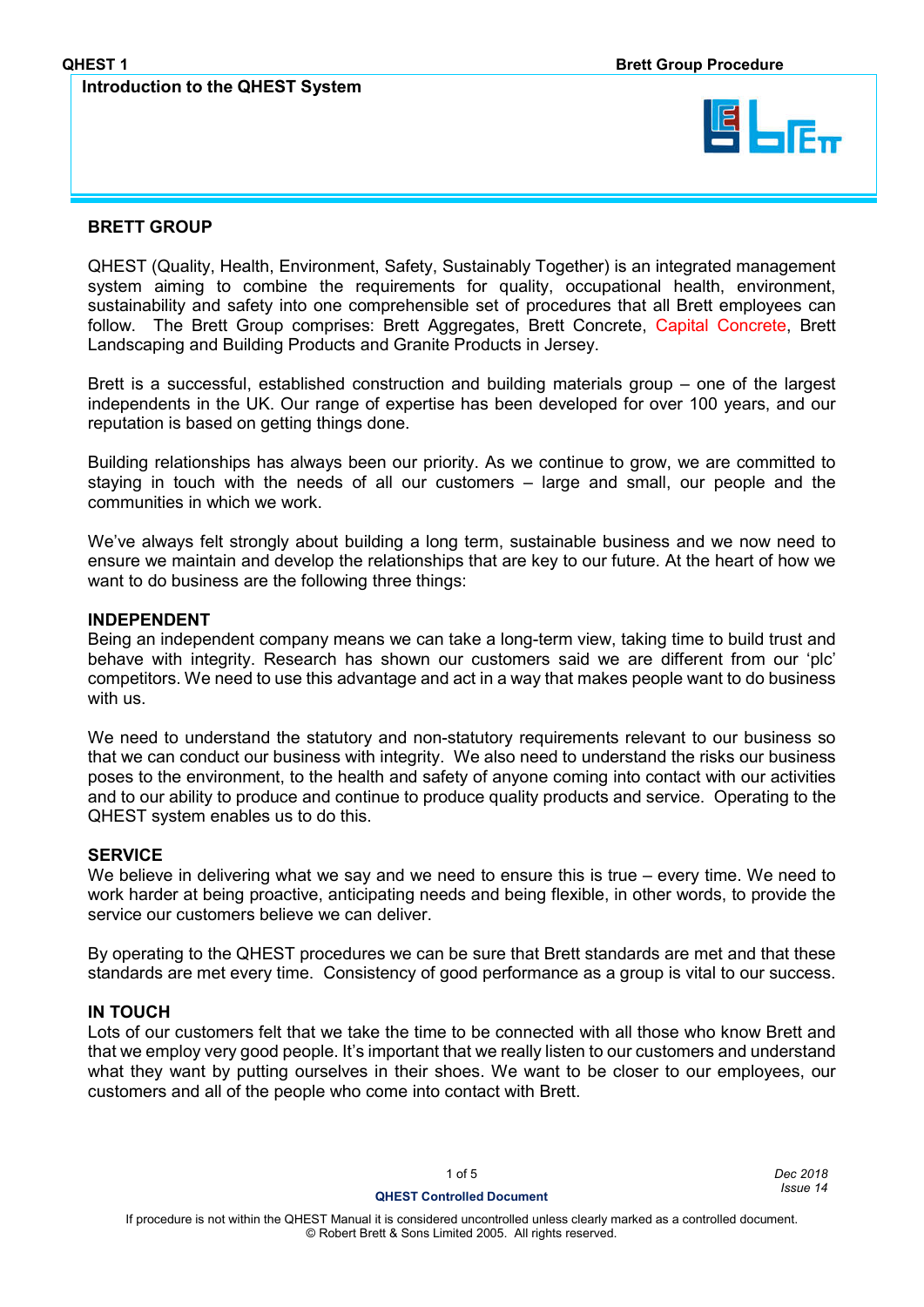### **Introduction to the QHEST System**



### **BRETT GROUP**

QHEST (Quality, Health, Environment, Safety, Sustainably Together) is an integrated management system aiming to combine the requirements for quality, occupational health, environment, sustainability and safety into one comprehensible set of procedures that all Brett employees can follow. The Brett Group comprises: Brett Aggregates, Brett Concrete, Capital Concrete, Brett Landscaping and Building Products and Granite Products in Jersey.

Brett is a successful, established construction and building materials group – one of the largest independents in the UK. Our range of expertise has been developed for over 100 years, and our reputation is based on getting things done.

Building relationships has always been our priority. As we continue to grow, we are committed to staying in touch with the needs of all our customers – large and small, our people and the communities in which we work.

We've always felt strongly about building a long term, sustainable business and we now need to ensure we maintain and develop the relationships that are key to our future. At the heart of how we want to do business are the following three things:

### **INDEPENDENT**

Being an independent company means we can take a long-term view, taking time to build trust and behave with integrity. Research has shown our customers said we are different from our 'plc' competitors. We need to use this advantage and act in a way that makes people want to do business with us.

We need to understand the statutory and non-statutory requirements relevant to our business so that we can conduct our business with integrity. We also need to understand the risks our business poses to the environment, to the health and safety of anyone coming into contact with our activities and to our ability to produce and continue to produce quality products and service. Operating to the QHEST system enables us to do this.

### **SERVICE**

We believe in delivering what we say and we need to ensure this is true – every time. We need to work harder at being proactive, anticipating needs and being flexible, in other words, to provide the service our customers believe we can deliver.

By operating to the QHEST procedures we can be sure that Brett standards are met and that these standards are met every time. Consistency of good performance as a group is vital to our success.

### **IN TOUCH**

Lots of our customers felt that we take the time to be connected with all those who know Brett and that we employ very good people. It's important that we really listen to our customers and understand what they want by putting ourselves in their shoes. We want to be closer to our employees, our customers and all of the people who come into contact with Brett.

1 of 5 *Dec 2018* **QHEST Controlled Document** *Issue 14*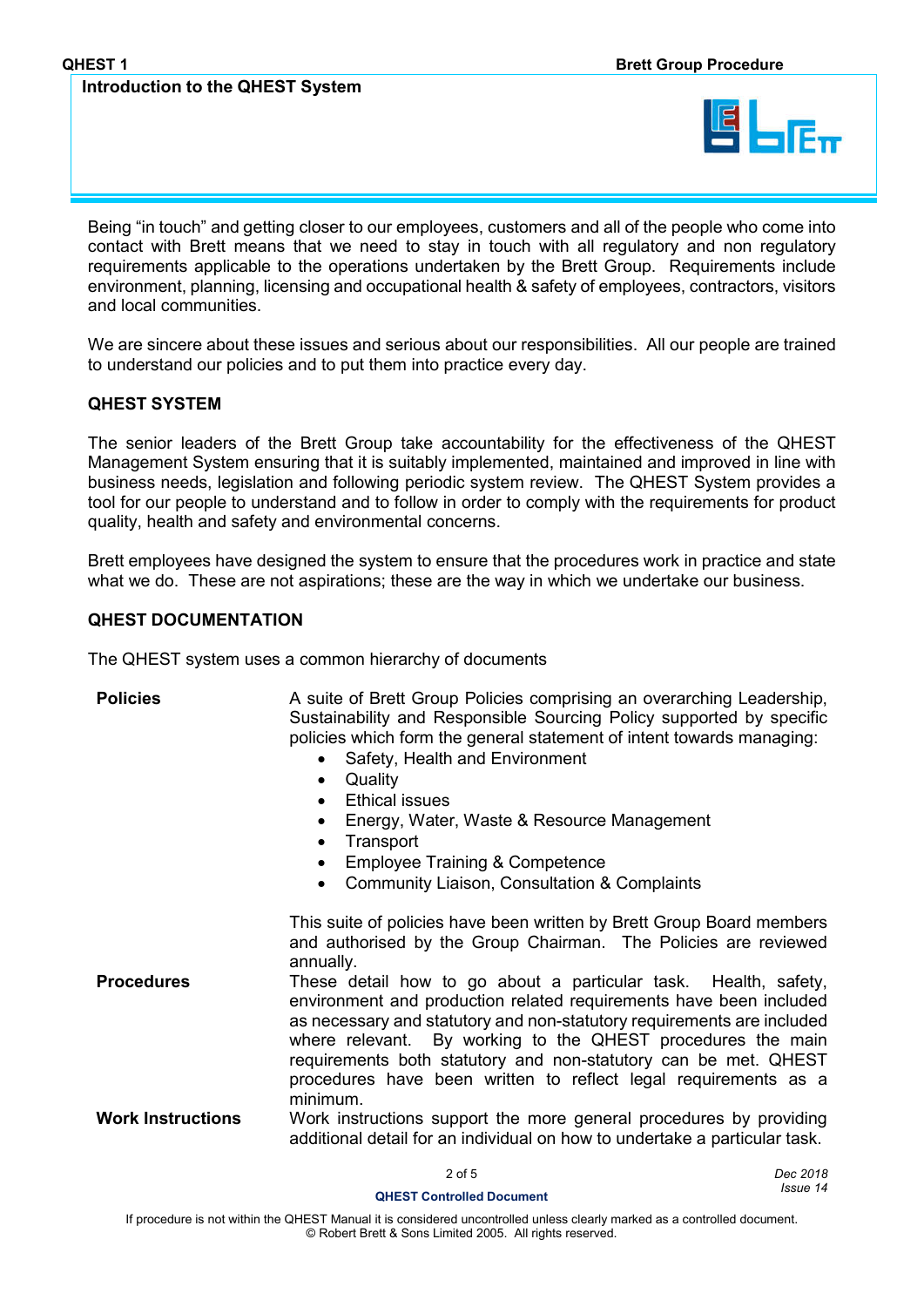### **Introduction to the QHEST System**



Being "in touch" and getting closer to our employees, customers and all of the people who come into contact with Brett means that we need to stay in touch with all regulatory and non regulatory requirements applicable to the operations undertaken by the Brett Group. Requirements include environment, planning, licensing and occupational health & safety of employees, contractors, visitors and local communities.

We are sincere about these issues and serious about our responsibilities. All our people are trained to understand our policies and to put them into practice every day.

### **QHEST SYSTEM**

The senior leaders of the Brett Group take accountability for the effectiveness of the QHEST Management System ensuring that it is suitably implemented, maintained and improved in line with business needs, legislation and following periodic system review. The QHEST System provides a tool for our people to understand and to follow in order to comply with the requirements for product quality, health and safety and environmental concerns.

Brett employees have designed the system to ensure that the procedures work in practice and state what we do. These are not aspirations; these are the way in which we undertake our business.

### **QHEST DOCUMENTATION**

The QHEST system uses a common hierarchy of documents

### **Policies** A suite of Brett Group Policies comprising an overarching Leadership, Sustainability and Responsible Sourcing Policy supported by specific policies which form the general statement of intent towards managing: • Safety, Health and Environment **Quality**  Ethical issues • Energy, Water, Waste & Resource Management • Transport Employee Training & Competence Community Liaison, Consultation & Complaints This suite of policies have been written by Brett Group Board members and authorised by the Group Chairman. The Policies are reviewed annually. **Procedures** These detail how to go about a particular task. Health, safety, environment and production related requirements have been included as necessary and statutory and non-statutory requirements are included where relevant. By working to the QHEST procedures the main requirements both statutory and non-statutory can be met. QHEST procedures have been written to reflect legal requirements as a minimum. **Work Instructions** Work instructions support the more general procedures by providing additional detail for an individual on how to undertake a particular task.

2 of 5 *Dec 2018* **QHEST Controlled Document** *Issue 14*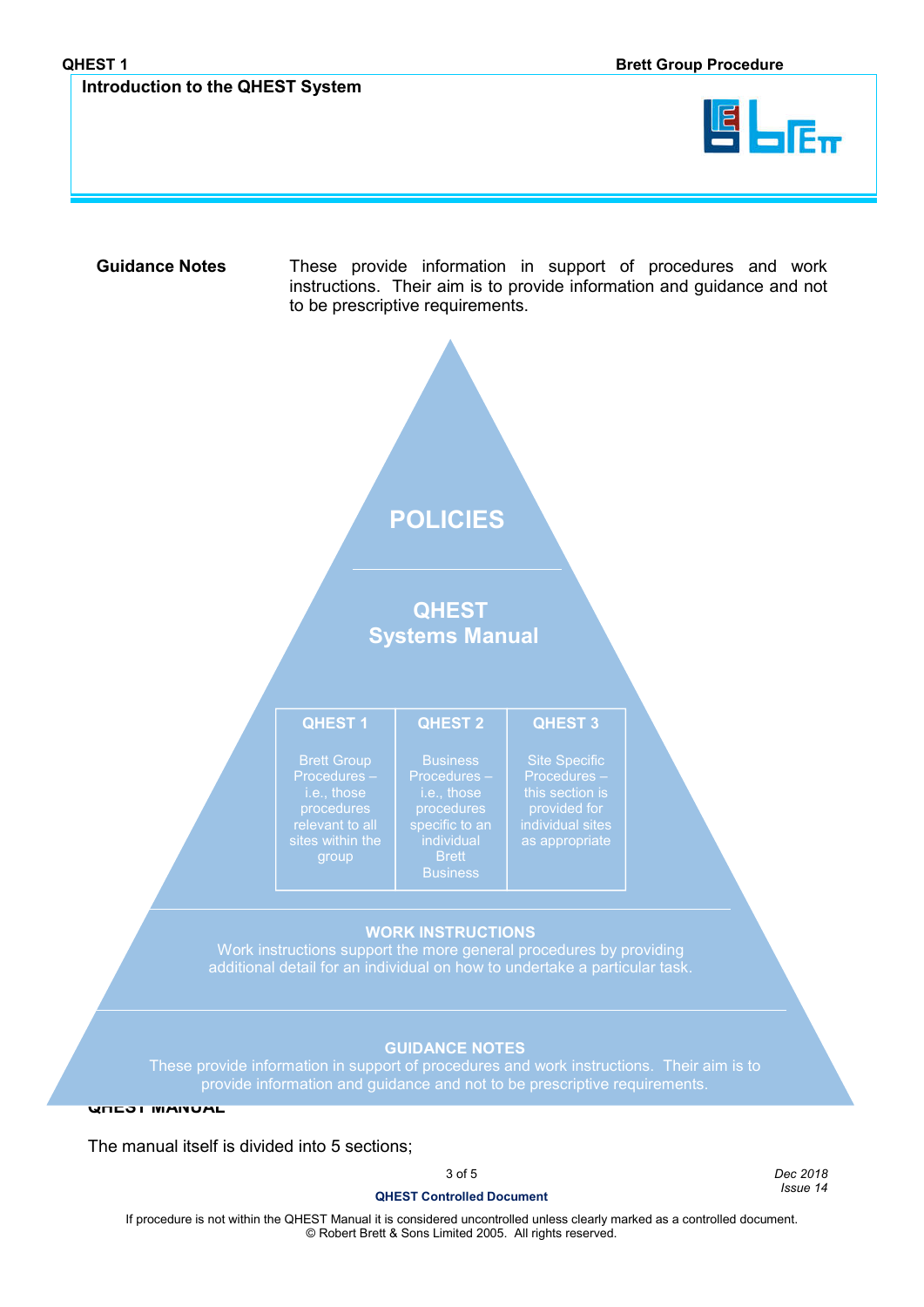

**Guidance Notes** These provide information in support of procedures and work instructions. Their aim is to provide information and guidance and not to be prescriptive requirements.

# **POLICIES**

**QHEST Systems Manual**

|  | OHES |  |  |
|--|------|--|--|

### **QHEST 2 QHEST 3**

Procedures  $$ evant to al<mark>l</mark> pcedures <mark>-</mark> individual Brett in the Brett State of the Brett State of the Brett State of the Brett State of the Brett State State of the Brett State of the Brett State of the Brett State of the Brett State of the Brett State of the Br Business Business Procedures – Procedures –

Procedures – this section is provided for Procedures –

# **WORK INSTRUCTIONS WORK INSTRUCTIONS**

Work instructions support the more general procedures by providing view with the more general procedures by providing additional detail for an individual on how to undertake a particular task. additional detail for an individual on how to undertake a particular task.

### **QHEST 4 GUIDANCE NOTE GUIDANCE NOTES**

These provide information in support of procedures and work instructions. Their aim is to provide information and guidance and not to be prescriptive requirements.

**QHEST MANUAL**

The manual itself is divided into 5 sections;

3 of 5 *Dec 2018*

## **QHEST Controlled Document** *Issue 14*

If procedure is not within the QHEST Manual it is considered uncontrolled unless clearly marked as a controlled document. © Robert Brett & Sons Limited 2005. All rights reserved.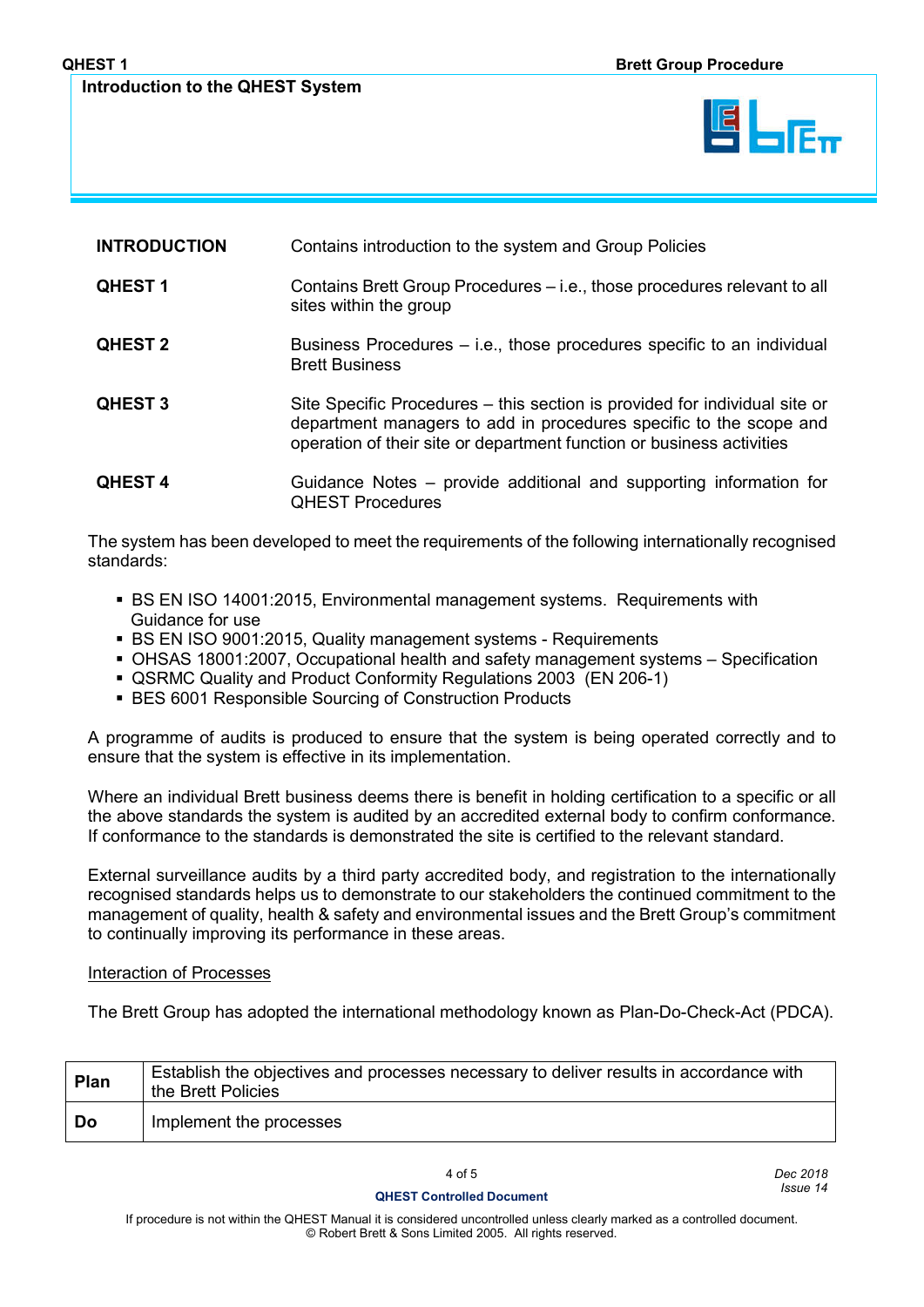### **Introduction to the QHEST System**

| <b>INTRODUCTION</b> | Contains introduction to the system and Group Policies                                                                                                                                                                    |  |
|---------------------|---------------------------------------------------------------------------------------------------------------------------------------------------------------------------------------------------------------------------|--|
| <b>QHEST1</b>       | Contains Brett Group Procedures – i.e., those procedures relevant to all<br>sites within the group                                                                                                                        |  |
| <b>QHEST 2</b>      | Business Procedures – i.e., those procedures specific to an individual<br><b>Brett Business</b>                                                                                                                           |  |
| <b>QHEST 3</b>      | Site Specific Procedures – this section is provided for individual site or<br>department managers to add in procedures specific to the scope and<br>operation of their site or department function or business activities |  |
| <b>QHEST4</b>       | Guidance Notes – provide additional and supporting information for<br><b>QHEST Procedures</b>                                                                                                                             |  |

The system has been developed to meet the requirements of the following internationally recognised standards:

- BS EN ISO 14001:2015, Environmental management systems. Requirements with Guidance for use
- BS EN ISO 9001:2015, Quality management systems Requirements
- OHSAS 18001:2007, Occupational health and safety management systems Specification
- QSRMC Quality and Product Conformity Regulations 2003 (EN 206-1)
- BES 6001 Responsible Sourcing of Construction Products

A programme of audits is produced to ensure that the system is being operated correctly and to ensure that the system is effective in its implementation.

Where an individual Brett business deems there is benefit in holding certification to a specific or all the above standards the system is audited by an accredited external body to confirm conformance. If conformance to the standards is demonstrated the site is certified to the relevant standard.

External surveillance audits by a third party accredited body, and registration to the internationally recognised standards helps us to demonstrate to our stakeholders the continued commitment to the management of quality, health & safety and environmental issues and the Brett Group's commitment to continually improving its performance in these areas.

### Interaction of Processes

The Brett Group has adopted the international methodology known as Plan-Do-Check-Act (PDCA).

| Plan | Establish the objectives and processes necessary to deliver results in accordance with<br>the Brett Policies |
|------|--------------------------------------------------------------------------------------------------------------|
| Do   | Implement the processes                                                                                      |

4 of 5 *Dec 2018* **QHEST Controlled Document** *Issue 14*

If procedure is not within the QHEST Manual it is considered uncontrolled unless clearly marked as a controlled document. © Robert Brett & Sons Limited 2005. All rights reserved.